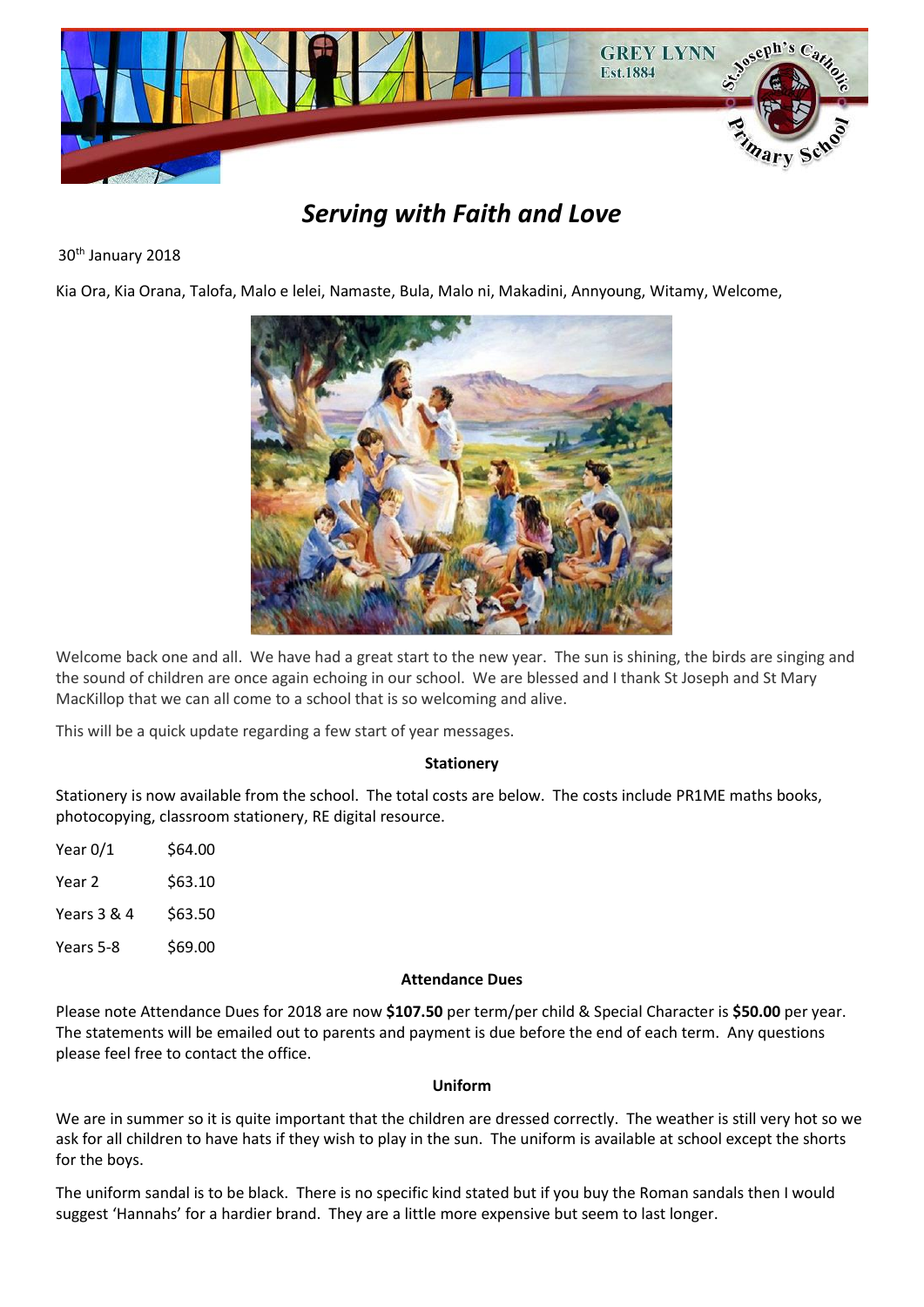

# *Serving with Faith and Love*

# 30<sup>th</sup> January 2018

Kia Ora, Kia Orana, Talofa, Malo e lelei, Namaste, Bula, Malo ni, Makadini, Annyoung, Witamy, Welcome,



Welcome back one and all. We have had a great start to the new year. The sun is shining, the birds are singing and the sound of children are once again echoing in our school. We are blessed and I thank St Joseph and St Mary MacKillop that we can all come to a school that is so welcoming and alive.

This will be a quick update regarding a few start of year messages.

#### **Stationery**

Stationery is now available from the school. The total costs are below. The costs include PR1ME maths books, photocopying, classroom stationery, RE digital resource.

| Year 0/1    | \$64.00 |
|-------------|---------|
| Year 2      | \$63.10 |
| Years 3 & 4 | \$63.50 |
| Years 5-8   | \$69.00 |
|             |         |

#### **Attendance Dues**

Please note Attendance Dues for 2018 are now **\$107.50** per term/per child & Special Character is **\$50.00** per year. The statements will be emailed out to parents and payment is due before the end of each term. Any questions please feel free to contact the office.

#### **Uniform**

We are in summer so it is quite important that the children are dressed correctly. The weather is still very hot so we ask for all children to have hats if they wish to play in the sun. The uniform is available at school except the shorts for the boys.

The uniform sandal is to be black. There is no specific kind stated but if you buy the Roman sandals then I would suggest 'Hannahs' for a hardier brand. They are a little more expensive but seem to last longer.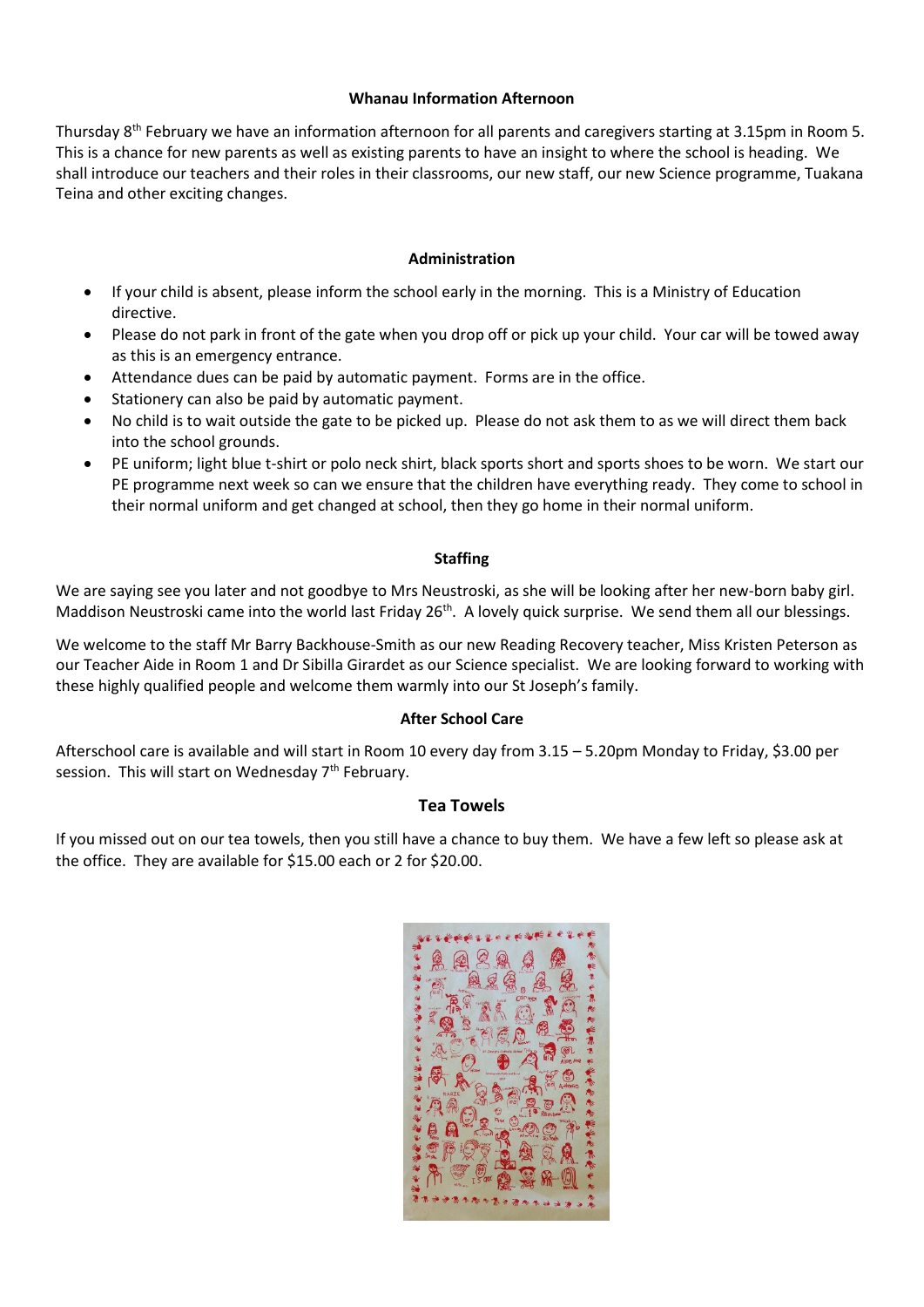## **Whanau Information Afternoon**

Thursday 8th February we have an information afternoon for all parents and caregivers starting at 3.15pm in Room 5. This is a chance for new parents as well as existing parents to have an insight to where the school is heading. We shall introduce our teachers and their roles in their classrooms, our new staff, our new Science programme, Tuakana Teina and other exciting changes.

#### **Administration**

- If your child is absent, please inform the school early in the morning. This is a Ministry of Education directive.
- Please do not park in front of the gate when you drop off or pick up your child. Your car will be towed away as this is an emergency entrance.
- Attendance dues can be paid by automatic payment. Forms are in the office.
- Stationery can also be paid by automatic payment.
- No child is to wait outside the gate to be picked up. Please do not ask them to as we will direct them back into the school grounds.
- PE uniform; light blue t-shirt or polo neck shirt, black sports short and sports shoes to be worn. We start our PE programme next week so can we ensure that the children have everything ready. They come to school in their normal uniform and get changed at school, then they go home in their normal uniform.

#### **Staffing**

We are saying see you later and not goodbye to Mrs Neustroski, as she will be looking after her new-born baby girl. Maddison Neustroski came into the world last Friday 26<sup>th</sup>. A lovely quick surprise. We send them all our blessings.

We welcome to the staff Mr Barry Backhouse-Smith as our new Reading Recovery teacher, Miss Kristen Peterson as our Teacher Aide in Room 1 and Dr Sibilla Girardet as our Science specialist. We are looking forward to working with these highly qualified people and welcome them warmly into our St Joseph's family.

#### **After School Care**

Afterschool care is available and will start in Room 10 every day from 3.15 – 5.20pm Monday to Friday, \$3.00 per session. This will start on Wednesday 7<sup>th</sup> February.

# **Tea Towels**

If you missed out on our tea towels, then you still have a chance to buy them. We have a few left so please ask at the office. They are available for \$15.00 each or 2 for \$20.00.